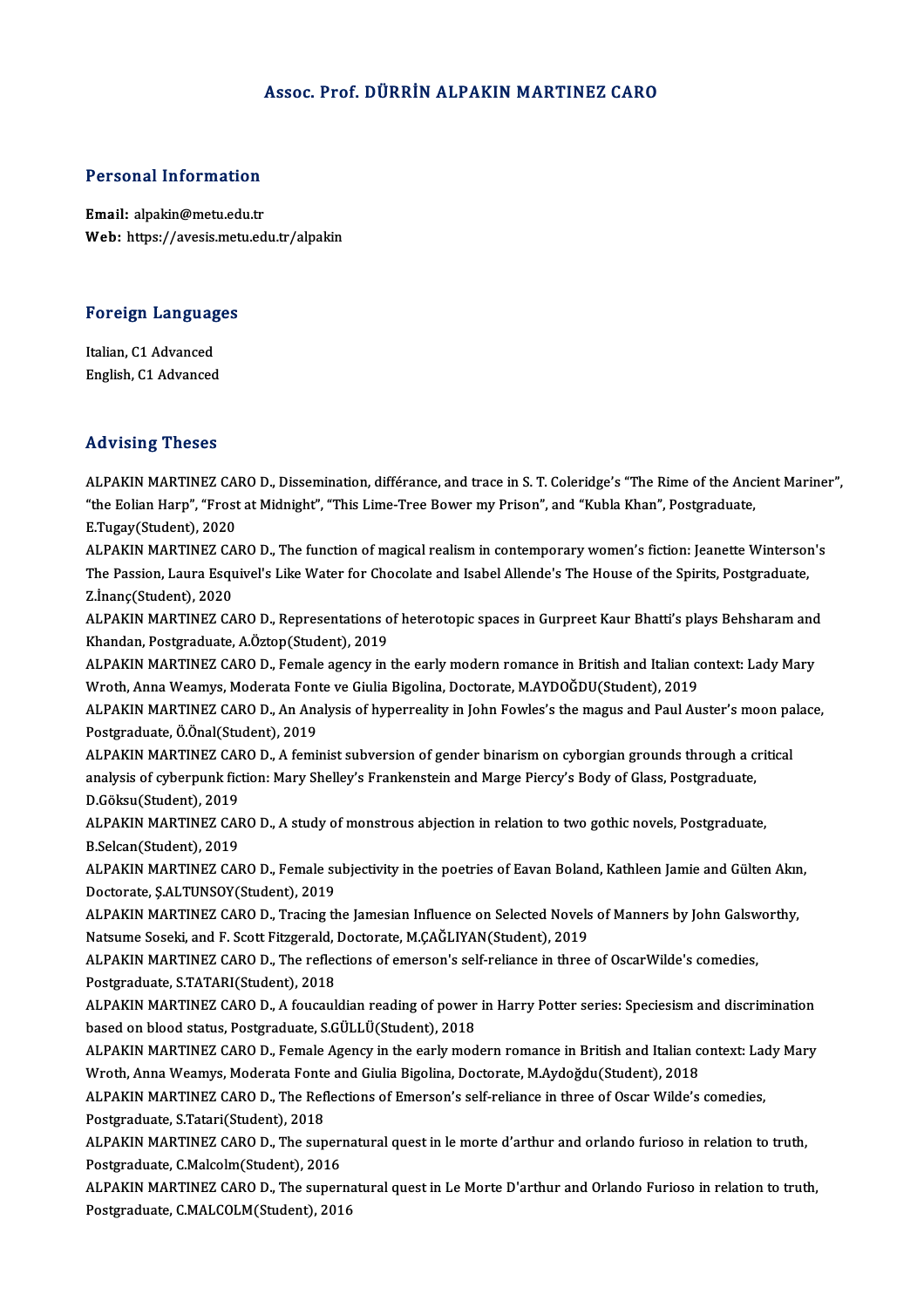### Assoc. Prof. DÜRRİN ALPAKIN MARTINEZ CARO

### **Personal Information**

Email: alpakin@metu.edu.tr Web: https://avesis.metu.edu.tr/alpakin

#### **Foreign Languages**

Italian. C1 Advanced English, C1 Advanced

### **Advising Theses**

ALPAKIN MARTINEZ CARO D., Dissemination, différance, and trace in S. T. Coleridge's "The Rime of the Ancient Mariner", "the Eolian Harp", "Frost at Midnight", "This Lime-Tree Bower my Prison", and "Kubla Khan", Postgraduate, E.Tugay(Student), 2020 ALPAKIN MARTINEZ CARO D., The function of magical realism in contemporary women's fiction: Jeanette Winterson's The Passion, Laura Esquivel's Like Water for Chocolate and Isabel Allende's The House of the Spirits, Postgraduate, Z.Inanç(Student), 2020 ALPAKIN MARTINEZ CARO D., Representations of heterotopic spaces in Gurpreet Kaur Bhatti's plays Behsharam and Khandan, Postgraduate, A.Öztop(Student), 2019 ALPAKIN MARTINEZ CARO D., Female agency in the early modern romance in British and Italian context: Lady Mary Wroth, Anna Weamys, Moderata Fonte ve Giulia Bigolina, Doctorate, M.AYDOĞDU(Student), 2019 ALPAKIN MARTINEZ CARO D., An Analysis of hyperreality in John Fowles's the magus and Paul Auster's moon palace, Postgraduate, Ö.Önal(Student), 2019 ALPAKIN MARTINEZ CARO D., A feminist subversion of gender binarism on cyborgian grounds through a critical analysis of cyberpunk fiction: Mary Shelley's Frankenstein and Marge Piercy's Body of Glass, Postgraduate, D.Göksu(Student), 2019 ALPAKIN MARTINEZ CARO D., A study of monstrous abjection in relation to two gothic novels, Postgraduate, B Selcan(Student), 2019 ALPAKIN MARTINEZ CARO D., Female subjectivity in the poetries of Eavan Boland, Kathleen Jamie and Gülten Akın, Doctorate, Ş.ALTUNSOY(Student), 2019 ALPAKIN MARTINEZ CARO D., Tracing the Jamesian Influence on Selected Novels of Manners by John Galsworthy, Natsume Soseki, and F. Scott Fitzgerald, Doctorate, M.CAĞLIYAN(Student), 2019 ALPAKIN MARTINEZ CARO D., The reflections of emerson's self-reliance in three of OscarWilde's comedies, Postgraduate, S.TATARI(Student), 2018 ALPAKIN MARTINEZ CARO D., A foucauldian reading of power in Harry Potter series: Speciesism and discrimination based on blood status, Postgraduate, S.GÜLLÜ(Student), 2018 ALPAKIN MARTINEZ CARO D., Female Agency in the early modern romance in British and Italian context: Lady Mary Wroth, Anna Weamys, Moderata Fonte and Giulia Bigolina, Doctorate, M.Aydoğdu (Student), 2018 ALPAKIN MARTINEZ CARO D., The Reflections of Emerson's self-reliance in three of Oscar Wilde's comedies, Postgraduate, S.Tatari(Student), 2018 ALPAKIN MARTINEZ CARO D., The supernatural quest in le morte d'arthur and orlando furioso in relation to truth, Postgraduate, C.Malcolm(Student), 2016 ALPAKIN MARTINEZ CARO D., The supernatural quest in Le Morte D'arthur and Orlando Furioso in relation to truth, Postgraduate, C.MALCOLM(Student), 2016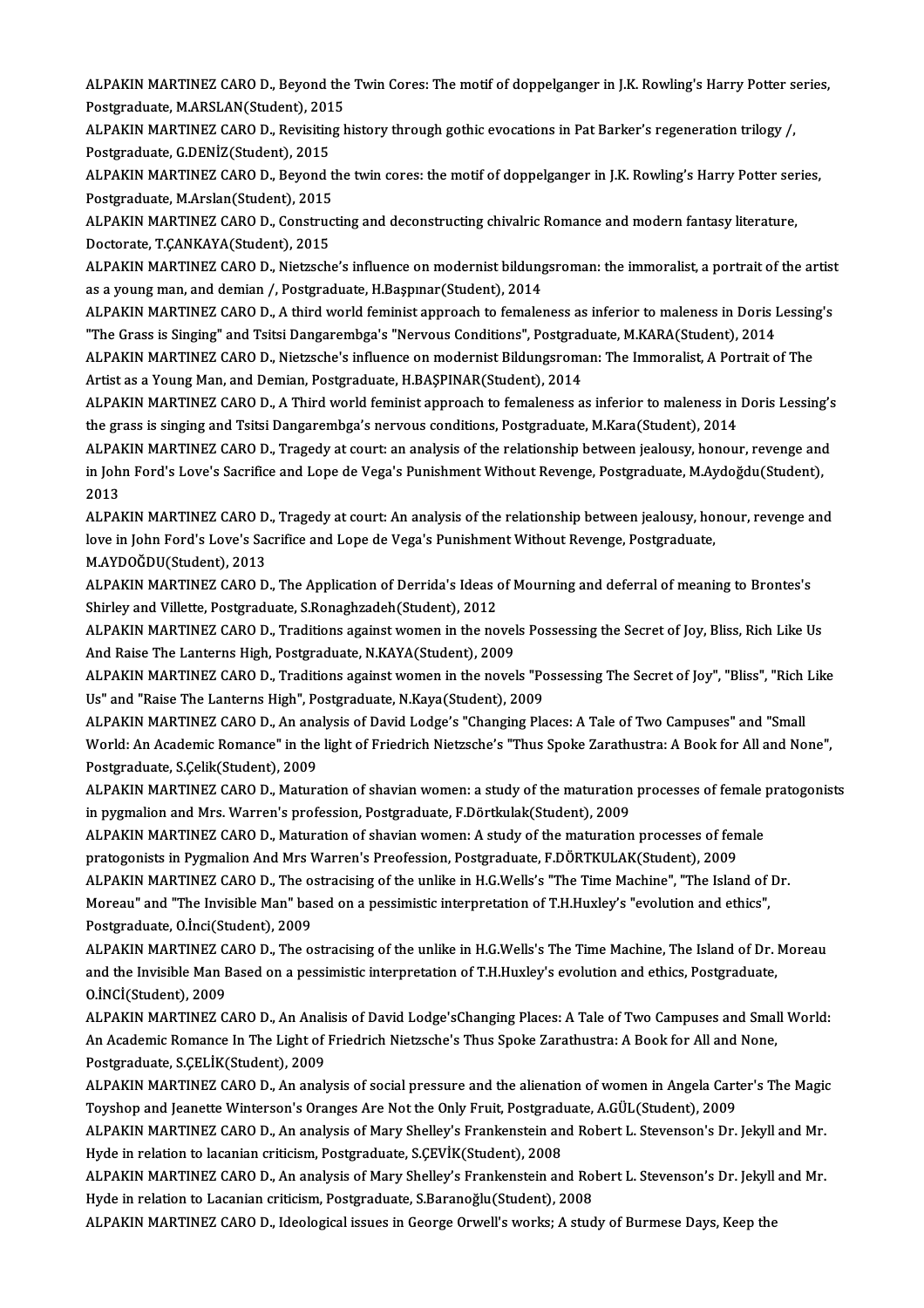ALPAKIN MARTINEZ CARO D., Beyond the Twin Cores: The motif of doppelganger in J.K. Rowling's Harry Potter series,<br>Pestanaduate MARSLAN(Student), 2015 ALPAKIN MARTINEZ CARO D., Beyond the<br>Postgraduate, M.ARSLAN(Student), 2015<br>ALBAKIN MARTINEZ CARO D. Bevisiting b ALPAKIN MARTINEZ CARO D., Beyond the Twin Cores: The motif of doppelganger in J.K. Rowling's Harry Potter s<br>Postgraduate, M.ARSLAN(Student), 2015<br>ALPAKIN MARTINEZ CARO D., Revisiting history through gothic evocations in Pa

Postgraduate, M.ARSLAN(Student), 201<br>ALPAKIN MARTINEZ CARO D., Revisitin<br>Postgraduate, G.DENİZ(Student), 2015<br>ALBAKIN MARTINEZ CARO D. Beyond t ALPAKIN MARTINEZ CARO D., Revisiting history through gothic evocations in Pat Barker's regeneration trilogy /,<br>Postgraduate, G.DENİZ(Student), 2015<br>ALPAKIN MARTINEZ CARO D., Beyond the twin cores: the motif of doppelganger

Postgraduate, G.DENİZ(Student), 2015<br>ALPAKIN MARTINEZ CARO D., Beyond t<br>Postgraduate, M.Arslan(Student), 2015<br>ALBAKIN MARTINEZ CARO D. Construc ALPAKIN MARTINEZ CARO D., Beyond the twin cores: the motif of doppelganger in J.K. Rowling's Harry Potter ser<br>Postgraduate, M.Arslan(Student), 2015<br>ALPAKIN MARTINEZ CARO D., Constructing and deconstructing chivalric Romanc

Postgraduate, M.Arslan(Student), 2015<br>ALPAKIN MARTINEZ CARO D., Construc<br>Doctorate, T.ÇANKAYA(Student), 2015<br>ALBAKIN MARTINEZ CABO D. Nistrssb ALPAKIN MARTINEZ CARO D., Constructing and deconstructing chivalric Romance and modern fantasy literature,<br>Doctorate, T.ÇANKAYA(Student), 2015<br>ALPAKIN MARTINEZ CARO D., Nietzsche's influence on modernist bildungsroman: the

Doctorate, T.ÇANKAYA(Student), 2015<br>ALPAKIN MARTINEZ CARO D., Nietzsche's influence on modernist bildungsroman: the immoralist, a portrait of the artist<br>as a young man, and demian /, Postgraduate, H.Başpınar(Student), 2014 ALPAKIN MARTINEZ CARO D., Nietzsche's influence on modernist bildungsroman: the immoralist, a portrait of the artist<br>as a young man, and demian /, Postgraduate, H.Başpınar(Student), 2014<br>ALPAKIN MARTINEZ CARO D., A third w

as a young man, and demian /, Postgraduate, H.Başpınar(Student), 2014<br>ALPAKIN MARTINEZ CARO D., A third world feminist approach to femaleness as inferior to maleness in Doris I<br>"The Grass is Singing" and Tsitsi Dangarembga ALPAKIN MARTINEZ CARO D., A third world feminist approach to femaleness as inferior to maleness in Doris Lessing<br>"The Grass is Singing" and Tsitsi Dangarembga's "Nervous Conditions", Postgraduate, M.KARA(Student), 2014<br>ALP

"The Grass is Singing" and Tsitsi Dangarembga's "Nervous Conditions", Postgraduate, M.KARA(Student), 2014<br>ALPAKIN MARTINEZ CARO D., Nietzsche's influence on modernist Bildungsroman: The Immoralist, A Portrait of The<br>Artist ALPAKIN MARTINEZ CARO D., Nietzsche's influence on modernist Bildungsroman: The Immoralist, A Portrait of The<br>Artist as a Young Man, and Demian, Postgraduate, H.BAŞPINAR(Student), 2014<br>ALPAKIN MARTINEZ CARO D., A Third wor

Artist as a Young Man, and Demian, Postgraduate, H.BAŞPINAR(Student), 2014<br>ALPAKIN MARTINEZ CARO D., A Third world feminist approach to femaleness as inferior to maleness in<br>the grass is singing and Tsitsi Dangarembga's ne ALPAKIN MARTINEZ CARO D., A Third world feminist approach to femaleness as inferior to maleness in Doris Lessing's<br>the grass is singing and Tsitsi Dangarembga's nervous conditions, Postgraduate, M.Kara(Student), 2014<br>ALPAK

the grass is singing and Tsitsi Dangarembga's nervous conditions, Postgraduate, M.Kara(Student), 2014<br>ALPAKIN MARTINEZ CARO D., Tragedy at court: an analysis of the relationship between jealousy, honour, revenge and<br>in Joh ALPA<br>in Joh<br>2013<br>ALPAL in John Ford's Love's Sacrifice and Lope de Vega's Punishment Without Revenge, Postgraduate, M.Aydoğdu(Student),<br>2013<br>ALPAKIN MARTINEZ CARO D., Tragedy at court: An analysis of the relationship between jealousy, honour, re

2013<br>ALPAKIN MARTINEZ CARO D., Tragedy at court: An analysis of the relationship between jealousy, ho<br>love in John Ford's Love's Sacrifice and Lope de Vega's Punishment Without Revenge, Postgraduate,<br>M AYDOČDU(Student), 20 ALPAKIN MARTINEZ CARO D<br>love in John Ford's Love's Sa<br>M.AYDOĞDU(Student), 2013<br>ALBAKIN MARTINEZ CABO D love in John Ford's Love's Sacrifice and Lope de Vega's Punishment Without Revenge, Postgraduate,<br>M.AYDOĞDU(Student), 2013<br>ALPAKIN MARTINEZ CARO D., The Application of Derrida's Ideas of Mourning and deferral of meaning to

M.AYDOĞDU(Student), 2013<br>ALPAKIN MARTINEZ CARO D., The Application of Derrida's Ideas of<br>Shirley and Villette, Postgraduate, S.Ronaghzadeh(Student), 2012<br>ALBAKIN MARTINEZ CARO D., Traditions against waman in the ne ALPAKIN MARTINEZ CARO D., The Application of Derrida's Ideas of Mourning and deferral of meaning to Brontes's<br>Shirley and Villette, Postgraduate, S.Ronaghzadeh(Student), 2012<br>ALPAKIN MARTINEZ CARO D., Traditions against wo

Shirley and Villette, Postgraduate, S.Ronaghzadeh(Student), 2012<br>ALPAKIN MARTINEZ CARO D., Traditions against women in the novel<br>And Raise The Lanterns High, Postgraduate, N.KAYA(Student), 2009<br>ALBAKIN MARTINEZ CARO D., Tr ALPAKIN MARTINEZ CARO D., Traditions against women in the novels Possessing the Secret of Joy, Bliss, Rich Like Us<br>And Raise The Lanterns High, Postgraduate, N.KAYA(Student), 2009<br>ALPAKIN MARTINEZ CARO D., Traditions again

And Raise The Lanterns High, Postgraduate, N.KAYA(Student), 2009<br>ALPAKIN MARTINEZ CARO D., Traditions against women in the novels "Possessing The Secret of Joy", "Bliss", "Rich Like<br>Us" and "Raise The Lanterns High", Postg ALPAKIN MARTINEZ CARO D., Traditions against women in the novels "Possessing The Secret of Joy", "Bliss", "Rich<br>Us" and "Raise The Lanterns High", Postgraduate, N.Kaya(Student), 2009<br>ALPAKIN MARTINEZ CARO D., An analysis o

Us" and "Raise The Lanterns High", Postgraduate, N.Kaya(Student), 2009<br>ALPAKIN MARTINEZ CARO D., An analysis of David Lodge's "Changing Places: A Tale of Two Campuses" and "Small<br>World: An Academic Romance" in the light of ALPAKIN MARTINEZ CARO D., An ana<br>World: An Academic Romance" in the<br>Postgraduate, S.Çelik(Student), 2009<br>ALBAKIN MARTINEZ CARO D. Mature World: An Academic Romance" in the light of Friedrich Nietzsche's "Thus Spoke Zarathustra: A Book for All and None",<br>Postgraduate, S.Çelik(Student), 2009<br>ALPAKIN MARTINEZ CARO D., Maturation of shavian women: a study of th

Postgraduate, S.Çelik(Student), 2009<br>ALPAKIN MARTINEZ CARO D., Maturation of shavian women: a study of the maturation<br>in pygmalion and Mrs. Warren's profession, Postgraduate, F.Dörtkulak(Student), 2009<br>ALRAKIN MARTINEZ CAR ALPAKIN MARTINEZ CARO D., Maturation of shavian women: a study of the maturation processes of female <sub>]</sub><br>in pygmalion and Mrs. Warren's profession, Postgraduate, F.Dörtkulak(Student), 2009<br>ALPAKIN MARTINEZ CARO D., Maturat

in pygmalion and Mrs. Warren's profession, Postgraduate, F.Dörtkulak(Student), 2009<br>ALPAKIN MARTINEZ CARO D., Maturation of shavian women: A study of the maturation processes of female<br>pratogonists in Pygmalion And Mrs War ALPAKIN MARTINEZ CARO D., Maturation of shavian women: A study of the maturation processes of female<br>pratogonists in Pygmalion And Mrs Warren's Preofession, Postgraduate, F.DÖRTKULAK(Student), 2009<br>ALPAKIN MARTINEZ CARO D.

pratogonists in Pygmalion And Mrs Warren's Preofession, Postgraduate, F.DÖRTKULAK(Student), 2009<br>ALPAKIN MARTINEZ CARO D., The ostracising of the unlike in H.G.Wells's "The Time Machine", "The Island of<br>Moreau" and "The In Moreau" and "The Invisible Man" based on a pessimistic interpretation of T.H.Huxley's "evolution and ethics",<br>Postgraduate, O.İnci(Student), 2009 Moreau" and "The Invisible Man" based on a pessimistic interpretation of T.H.Huxley's "evolution and ethics",<br>Postgraduate, O.İnci(Student), 2009<br>ALPAKIN MARTINEZ CARO D., The ostracising of the unlike in H.G.Wells's The T

Postgraduate, O.İnci(Student), 2009<br>ALPAKIN MARTINEZ CARO D., The ostracising of the unlike in H.G.Wells's The Time Machine, The Island of Dr. l<br>and the Invisible Man Based on a pessimistic interpretation of T.H.Huxley's e ALPAKIN MARTINEZ C.<br>and the Invisible Man E<br>O.İNCİ(Student), 2009<br>ALBAKIN MARTINEZ C and the Invisible Man Based on a pessimistic interpretation of T.H.Huxley's evolution and ethics, Postgraduate,<br>O.İNCİ(Student), 2009<br>ALPAKIN MARTINEZ CARO D., An Analisis of David Lodge'sChanging Places: A Tale of Two Cam

O.İNCİ(Student), 2009<br>ALPAKIN MARTINEZ CARO D., An Analisis of David Lodge'sChanging Places: A Tale of Two Campuses and Smal<br>An Academic Romance In The Light of Friedrich Nietzsche's Thus Spoke Zarathustra: A Book for All ALPAKIN MARTINEZ CARO D., An Anal<br>An Academic Romance In The Light of<br>Postgraduate, S.ÇELİK(Student), 2009<br>ALBAKIN MARTINEZ CARO D. An anal An Academic Romance In The Light of Friedrich Nietzsche's Thus Spoke Zarathustra: A Book for All and None,<br>Postgraduate, S.ÇELİK(Student), 2009<br>ALPAKIN MARTINEZ CARO D., An analysis of social pressure and the alienation of

Postgraduate, S.ÇELİK(Student), 2009<br>ALPAKIN MARTINEZ CARO D., An analysis of social pressure and the alienation of women in Angela Cart<br>Toyshop and Jeanette Winterson's Oranges Are Not the Only Fruit, Postgraduate, A.GÜL( ALPAKIN MARTINEZ CARO D., An analysis of social pressure and the alienation of women in Angela Carter's The Magio<br>Toyshop and Jeanette Winterson's Oranges Are Not the Only Fruit, Postgraduate, A.GÜL(Student), 2009<br>ALPAKIN

Toyshop and Jeanette Winterson's Oranges Are Not the Only Fruit, Postgraduate, A.GÜL(Student), 2009<br>ALPAKIN MARTINEZ CARO D., An analysis of Mary Shelley's Frankenstein and Robert L. Stevenson's Dr. Jekyll and Mr.<br>Hyde in ALPAKIN MARTINEZ CARO D., An analysis of Mary Shelley's Frankenstein and Robert L. Stevenson's Dr. Jekyll and Mr.<br>Hyde in relation to lacanian criticism, Postgraduate, S.ÇEVİK(Student), 2008<br>ALPAKIN MARTINEZ CARO D., An an Hyde in relation to lacanian criticism, Postgraduate, S.ÇEVİK(Student), 2008

ALPAKIN MARTINEZ CARO D., Ideological issues in George Orwell's works; A study of Burmese Days, Keep the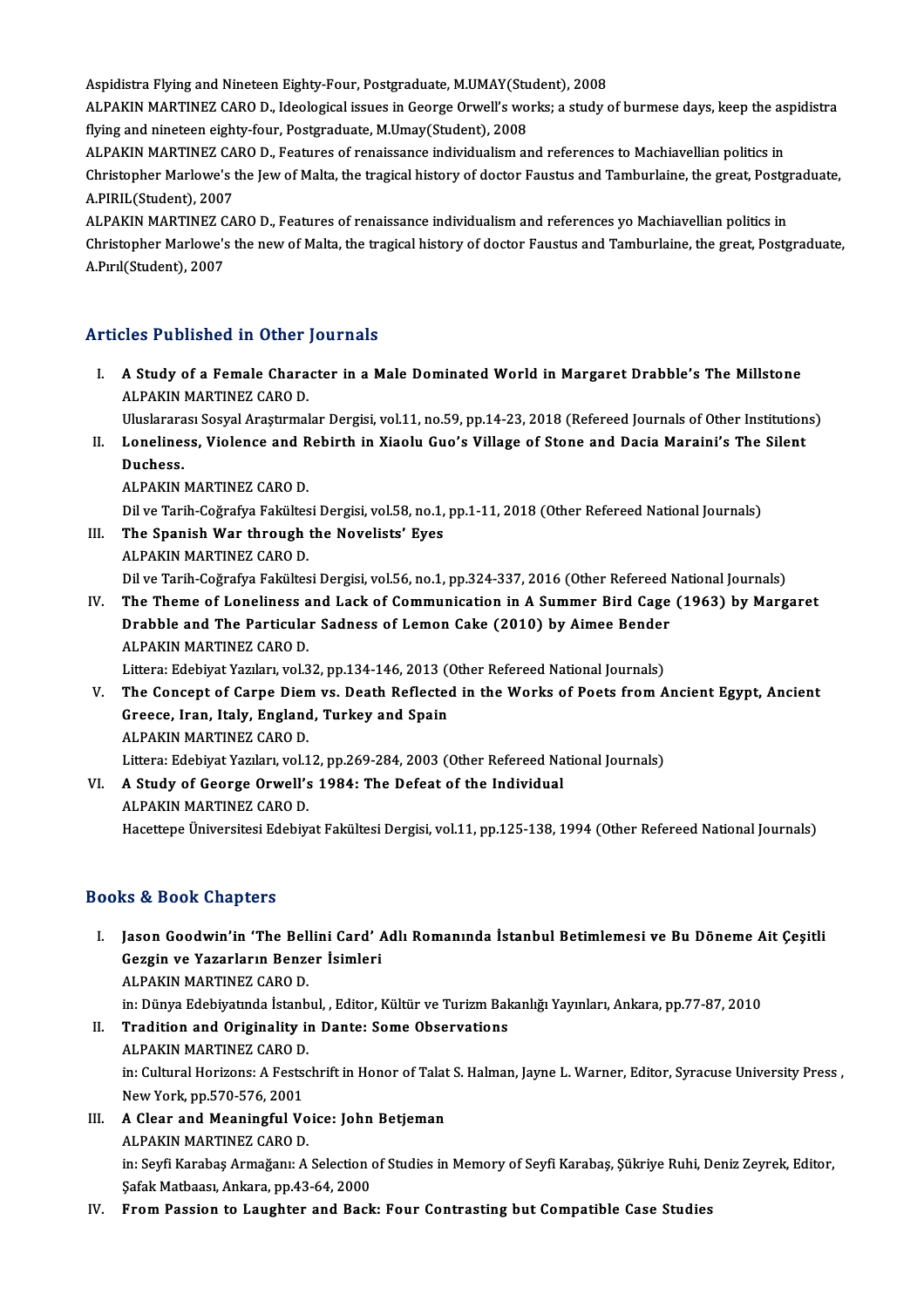Aspidistra Flying and Nineteen Eighty-Four, Postgraduate, M.UMAY(Student), 2008<br>ALBAKIN MARTINEZ CARO D. Ideological issues in Coorge Orwell's works: a study o

ALPAKIN MARTINEZ CARO D., Ideological issues in George Orwell's works; a study of burmese days, keep the aspidistra<br>flying and nineteen eighty-four, Postgraduate, M.Umay(Student), 2008 Aspidistra Flying and Nineteen Eighty-Four, Postgraduate, M.UMAY(Stu<br>ALPAKIN MARTINEZ CARO D., Ideological issues in George Orwell's wo<br>flying and nineteen eighty-four, Postgraduate, M.Umay(Student), 2008<br>ALBAKIN MARTINEZ ALPAKIN MARTINEZ CARO D., Ideological issues in George Orwell's works; a study of burmese days, keep the as<br>flying and nineteen eighty-four, Postgraduate, M.Umay(Student), 2008<br>ALPAKIN MARTINEZ CARO D., Features of renaiss

flying and nineteen eighty-four, Postgraduate, M.Umay(Student), 2008<br>ALPAKIN MARTINEZ CARO D., Features of renaissance individualism and references to Machiavellian politics in<br>Christopher Marlowe's the Jew of Malta, the t ALPAKIN MARTINEZ CA<br>Christopher Marlowe's t<br>A.PIRIL(Student), 2007<br>ALBAKIN MARTINEZ CA Christopher Marlowe's the Jew of Malta, the tragical history of doctor Faustus and Tamburlaine, the great, Postgi<br>A.PIRIL(Student), 2007<br>ALPAKIN MARTINEZ CARO D., Features of renaissance individualism and references yo Mac

A.PIRIL(Student), 2007<br>ALPAKIN MARTINEZ CARO D., Features of renaissance individualism and references yo Machiavellian politics in<br>Christopher Marlowe's the new of Malta, the tragical history of doctor Faustus and Tamburla ALPAKIN MARTINEZ C<br>Christopher Marlowe's<br>A.Pırıl(Student), 2007

# A.Pırıl(Student), 2007<br>Articles Published in Other Journals

rticles Published in Other Journals<br>I. A Study of a Female Character in a Male Dominated World in Margaret Drabble's The Millstone<br>ALRAKIN MARTINEZ CARO D ALPAKIN MARTINEZ CARO D.<br>A Study of a Female Chara<br>ALPAKIN MARTINEZ CARO D. ALPAKIN MARTINEZ CARO D.<br>Uluslararası Sosyal Araştırmalar Dergisi, vol.11, no.59, pp.14-23, 2018 (Refereed Journals of Other Institutions)

ALPAKIN MARTINEZ CARO D.<br>Uluslararası Sosyal Araştırmalar Dergisi, vol.11, no.59, pp.14-23, 2018 (Refereed Journals of Other Institution<br>II. Loneliness, Violence and Rebirth in Xiaolu Guo's Village of Stone and Dacia M Uluslarara<br>Loneline:<br>Duchess.<br>ALBAKIN Loneliness, Violence and R<br>Duchess.<br>ALPAKIN MARTINEZ CARO D.<br>Dil*ye Ter*ib Cožrafya Fakültes Duchess.<br>ALPAKIN MARTINEZ CARO D.<br>Dil ve Tarih-Coğrafya Fakültesi Dergisi, vol.58, no.1, pp.1-11, 2018 (Other Refereed National Journals)<br>The Spanish War, through the Novelists' Eves

- ALPAKIN MARTINEZ CARO D.<br>Dil ve Tarih-Coğrafya Fakültesi Dergisi, vol.58, no.1,<br>III. The Spanish War through the Novelists' Eyes<br>ALBAKIN MARTINEZ CARO D.
- Dil ve Tarih-Coğrafya Fakültes<br>The Spanish War through<br>ALPAKIN MARTINEZ CARO D.<br>Dil ve Tarih Coğrafya Fakültes III. The Spanish War through the Novelists' Eyes<br>ALPAKIN MARTINEZ CARO D.<br>Dil ve Tarih-Coğrafya Fakültesi Dergisi, vol.56, no.1, pp.324-337, 2016 (Other Refereed National Journals) ALPAKIN MARTINEZ CARO D.<br>Dil ve Tarih-Coğrafya Fakültesi Dergisi, vol.56, no.1, pp.324-337, 2016 (Other Refereed National Journals)<br>IV. The Theme of Loneliness and Lack of Communication in A Summer Bird Cage (1963) by Marg
- Dil ve Tarih-Coğrafya Fakültesi Dergisi, vol.56, no.1, pp.324-337, 2016 (Other Refereed I<br>The Theme of Loneliness and Lack of Communication in A Summer Bird Cage<br>Drabble and The Particular Sadness of Lemon Cake (2010) by A The Theme of Loneliness a<br>Drabble and The Particula<br>ALPAKIN MARTINEZ CARO D.<br>Littore: Edebiyat Verylary vol 2 Drabble and The Particular Sadness of Lemon Cake (2010) by Aimee Bender<br>ALPAKIN MARTINEZ CARO D.

- V. The Concept of Carpe Diem vs. Death Reflected in the Works of Poets from Ancient Egypt, Ancient Littera: Edebiyat Yazıları, vol.32, pp.134-146, 2013 (Other Refereed National Journals)<br>The Concept of Carpe Diem vs. Death Reflected in the Works of Poets from *f*<br>Greece, Iran, Italy, England, Turkey and Spain<br>ALPAKIN MA Greece, Iran, Italy, England, Turkey and Spain Greece, Iran, Italy, England, Turkey and Spain<br>ALPAKIN MARTINEZ CARO D.<br>Littera: Edebiyat Yazıları, vol.12, pp.269-284, 2003 (Other Refereed National Journals)<br>A Study of Coorge Orwell's 1984; The Defect of the Individual
- VI. A Study of George Orwell's 1984: The Defeat of the Individual ALPAKIN MARTINEZ CARO D. Littera: Edebiyat Yazıları, vol.1<br>A Study of George Orwell's<br>ALPAKIN MARTINEZ CARO D.<br>Hassttans Üniversitesi Edebiya Hacettepe Üniversitesi Edebiyat Fakültesi Dergisi, vol.11, pp.125-138, 1994 (Other Refereed National Journals)

### Books&Book Chapters

- ooks & Book Chapters<br>I. Jason Goodwin'in 'The Bellini Card' Adlı Romanında İstanbul Betimlemesi ve Bu Döneme Ait Çeşitli<br>Cessin ve Yasarların Benser İsimleri IS & Book Ghaptore<br>Jason Goodwin'in 'The Bellini Card' A<br>Gezgin ve Yazarların Benzer İsimleri<br>ALBAKIN MARTINEZ GABO D Jason Goodwin'in 'The Bell<br>Gezgin ve Yazarların Benze<br>ALPAKIN MARTINEZ CARO D.<br>in: Dünya Edebiyatında İstanb Gezgin ve Yazarların Benzer İsimleri<br>ALPAKIN MARTINEZ CARO D.<br>in: Dünya Edebiyatında İstanbul, , Editor, Kültür ve Turizm Bakanlığı Yayınları, Ankara, pp.77-87, 2010 ALPAKIN MARTINEZ CARO D.<br>in: Dünya Edebiyatında İstanbul, , Editor, Kültür ve Turizm Bal<br>II. Tradition and Originality in Dante: Some Observations<br>ALBAKIN MARTINEZ CARO D.
- in: Dünya Edebiyatında İstanb<br>Tradition and Originality in<br>ALPAKIN MARTINEZ CARO D.<br>in: Cultural Horizone: A Festes ALPAKIN MARTINEZ CARO D.<br>in: Cultural Horizons: A Festschrift in Honor of Talat S. Halman, Jayne L. Warner, Editor, Syracuse University Press , ALPAKIN MARTINEZ CARO D.<br>in: Cultural Horizons: A Fests<br>New York, pp.570-576, 2001<br>A Glear and Meaningful Ve
- III. A Clear and Meaningful Voice: John Betjeman<br>ALPAKIN MARTINEZ CARO D. New York, pp.570-576, 2001<br>A Clear and Meaningful Vo<br>ALPAKIN MARTINEZ CARO D.<br>in: Sorfi Karabas Armažanu A. A Clear and Meaningful Voice: John Betjeman<br>ALPAKIN MARTINEZ CARO D.<br>in: Seyfi Karabaş Armağanı: A Selection of Studies in Memory of Seyfi Karabaş, Şükriye Ruhi, Deniz Zeyrek, Editor,<br>Sefek Metheesy, Arkare, np.43,64,3000. ALPAKIN MARTINEZ CARO D.<br>in: Seyfi Karabaş Armağanı: A Selection (<br>Şafak Matbaası, Ankara, pp.43-64, 2000<br>From Passion to Laughtor and Bash in: Seyfi Karabaş Armağanı: A Selection of Studies in Memory of Seyfi Karabaş, Şükriye Ruhi, D<br>Şafak Matbaası, Ankara, pp.43-64, 2000<br>IV. From Passion to Laughter and Back: Four Contrasting but Compatible Case Studies
-